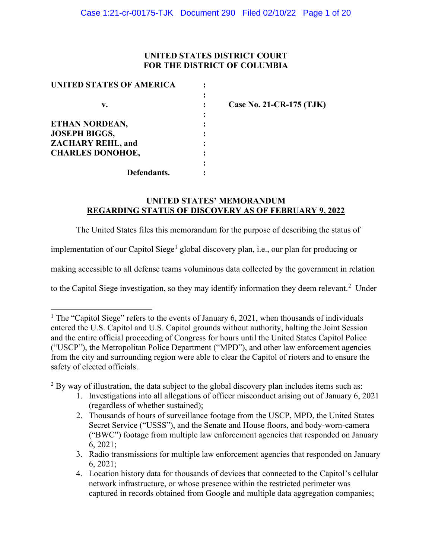### **UNITED STATES DISTRICT COURT FOR THE DISTRICT OF COLUMBIA**

| UNITED STATES OF AMERICA |  |
|--------------------------|--|
|                          |  |
| v.                       |  |
|                          |  |
| ETHAN NORDEAN,           |  |
| <b>JOSEPH BIGGS,</b>     |  |
| <b>ZACHARY REHL, and</b> |  |
| <b>CHARLES DONOHOE,</b>  |  |
|                          |  |
| Defendants.              |  |

**v. : Case No. 21-CR-175 (TJK)**

## **UNITED STATES' MEMORANDUM REGARDING STATUS OF DISCOVERY AS OF FEBRUARY 9, 2022**

The United States files this memorandum for the purpose of describing the status of

implementation of our Capitol Siege<sup>1</sup> global discovery plan, i.e., our plan for producing or

making accessible to all defense teams voluminous data collected by the government in relation

to the Capitol Siege investigation, so they may identify information they deem relevant.<sup>2</sup> Under

 $2$  By way of illustration, the data subject to the global discovery plan includes items such as:

- 1. Investigations into all allegations of officer misconduct arising out of January 6, 2021 (regardless of whether sustained);
- 2. Thousands of hours of surveillance footage from the USCP, MPD, the United States Secret Service ("USSS"), and the Senate and House floors, and body-worn-camera ("BWC") footage from multiple law enforcement agencies that responded on January 6, 2021;
- 3. Radio transmissions for multiple law enforcement agencies that responded on January 6, 2021;
- 4. Location history data for thousands of devices that connected to the Capitol's cellular network infrastructure, or whose presence within the restricted perimeter was captured in records obtained from Google and multiple data aggregation companies;

<sup>&</sup>lt;sup>1</sup> The "Capitol Siege" refers to the events of January 6, 2021, when thousands of individuals entered the U.S. Capitol and U.S. Capitol grounds without authority, halting the Joint Session and the entire official proceeding of Congress for hours until the United States Capitol Police ("USCP"), the Metropolitan Police Department ("MPD"), and other law enforcement agencies from the city and surrounding region were able to clear the Capitol of rioters and to ensure the safety of elected officials.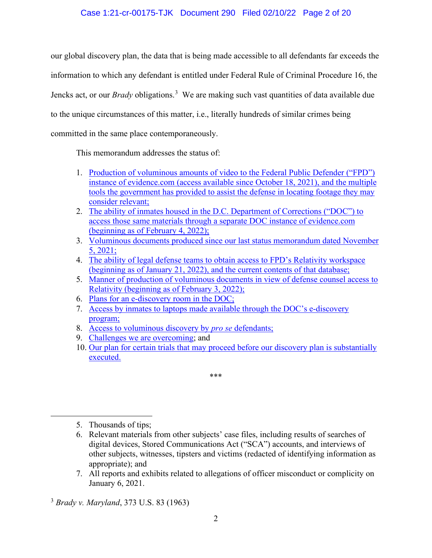## Case 1:21-cr-00175-TJK Document 290 Filed 02/10/22 Page 2 of 20

our global discovery plan, the data that is being made accessible to all defendants far exceeds the information to which any defendant is entitled under Federal Rule of Criminal Procedure 16, the Jencks act, or our *Brady* obligations.<sup>3</sup> We are making such vast quantities of data available due to the unique circumstances of this matter, i.e., literally hundreds of similar crimes being committed in the same place contemporaneously.

This memorandum addresses the status of:

- 1. Production of voluminous amounts of video to the Federal Public Defender ("FPD") instance of evidence.com (access available since October 18, 2021), and the multiple tools the government has provided to assist the defense in locating footage they may consider relevant;
- 2. The ability of inmates housed in the D.C. Department of Corrections ("DOC") to access those same materials through a separate DOC instance of evidence.com (beginning as of February 4, 2022);
- 3. Voluminous documents produced since our last status memorandum dated November 5, 2021;
- 4. The ability of legal defense teams to obtain access to FPD's Relativity workspace (beginning as of January 21, 2022), and the current contents of that database;
- 5. Manner of production of voluminous documents in view of defense counsel access to Relativity (beginning as of February 3, 2022);
- 6. Plans for an e-discovery room in the DOC;
- 7. Access by inmates to laptops made available through the DOC's e-discovery program;
- 8. Access to voluminous discovery by *pro se* defendants;
- 9. Challenges we are overcoming; and
- 10. Our plan for certain trials that may proceed before our discovery plan is substantially executed.

\*\*\*

7. All reports and exhibits related to allegations of officer misconduct or complicity on January 6, 2021.

<sup>5.</sup> Thousands of tips;

<sup>6.</sup> Relevant materials from other subjects' case files, including results of searches of digital devices, Stored Communications Act ("SCA") accounts, and interviews of other subjects, witnesses, tipsters and victims (redacted of identifying information as appropriate); and

<sup>3</sup> *Brady v. Maryland*, 373 U.S. 83 (1963)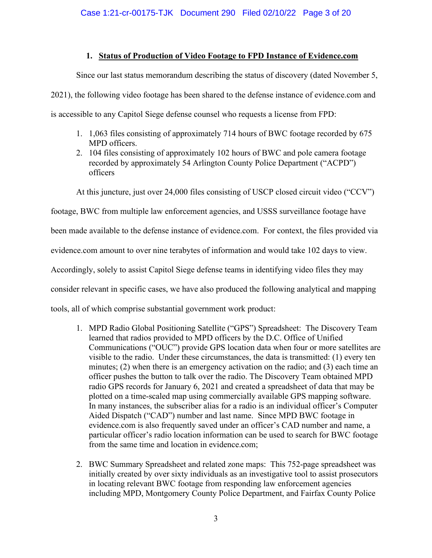### **1. Status of Production of Video Footage to FPD Instance of Evidence.com**

Since our last status memorandum describing the status of discovery (dated November 5, 2021), the following video footage has been shared to the defense instance of evidence.com and is accessible to any Capitol Siege defense counsel who requests a license from FPD:

- 1. 1,063 files consisting of approximately 714 hours of BWC footage recorded by 675 MPD officers.
- 2. 104 files consisting of approximately 102 hours of BWC and pole camera footage recorded by approximately 54 Arlington County Police Department ("ACPD") officers

At this juncture, just over 24,000 files consisting of USCP closed circuit video ("CCV")

footage, BWC from multiple law enforcement agencies, and USSS surveillance footage have been made available to the defense instance of evidence.com. For context, the files provided via evidence.com amount to over nine terabytes of information and would take 102 days to view. Accordingly, solely to assist Capitol Siege defense teams in identifying video files they may consider relevant in specific cases, we have also produced the following analytical and mapping tools, all of which comprise substantial government work product:

- 1. MPD Radio Global Positioning Satellite ("GPS") Spreadsheet: The Discovery Team learned that radios provided to MPD officers by the D.C. Office of Unified Communications ("OUC") provide GPS location data when four or more satellites are visible to the radio. Under these circumstances, the data is transmitted: (1) every ten minutes; (2) when there is an emergency activation on the radio; and (3) each time an officer pushes the button to talk over the radio. The Discovery Team obtained MPD radio GPS records for January 6, 2021 and created a spreadsheet of data that may be plotted on a time-scaled map using commercially available GPS mapping software. In many instances, the subscriber alias for a radio is an individual officer's Computer Aided Dispatch ("CAD") number and last name. Since MPD BWC footage in evidence.com is also frequently saved under an officer's CAD number and name, a particular officer's radio location information can be used to search for BWC footage from the same time and location in evidence.com;
- 2. BWC Summary Spreadsheet and related zone maps: This 752-page spreadsheet was initially created by over sixty individuals as an investigative tool to assist prosecutors in locating relevant BWC footage from responding law enforcement agencies including MPD, Montgomery County Police Department, and Fairfax County Police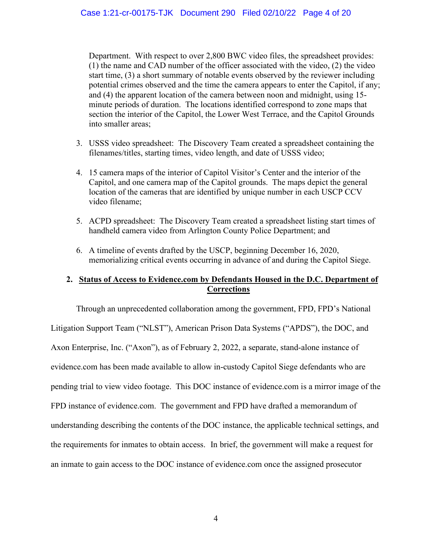Department. With respect to over 2,800 BWC video files, the spreadsheet provides: (1) the name and CAD number of the officer associated with the video, (2) the video start time, (3) a short summary of notable events observed by the reviewer including potential crimes observed and the time the camera appears to enter the Capitol, if any; and (4) the apparent location of the camera between noon and midnight, using 15 minute periods of duration. The locations identified correspond to zone maps that section the interior of the Capitol, the Lower West Terrace, and the Capitol Grounds into smaller areas;

- 3. USSS video spreadsheet: The Discovery Team created a spreadsheet containing the filenames/titles, starting times, video length, and date of USSS video;
- 4. 15 camera maps of the interior of Capitol Visitor's Center and the interior of the Capitol, and one camera map of the Capitol grounds. The maps depict the general location of the cameras that are identified by unique number in each USCP CCV video filename;
- 5. ACPD spreadsheet: The Discovery Team created a spreadsheet listing start times of handheld camera video from Arlington County Police Department; and
- 6. A timeline of events drafted by the USCP, beginning December 16, 2020, memorializing critical events occurring in advance of and during the Capitol Siege.

## **2. Status of Access to Evidence.com by Defendants Housed in the D.C. Department of Corrections**

Through an unprecedented collaboration among the government, FPD, FPD's National Litigation Support Team ("NLST"), American Prison Data Systems ("APDS"), the DOC, and Axon Enterprise, Inc. ("Axon"), as of February 2, 2022, a separate, stand-alone instance of evidence.com has been made available to allow in-custody Capitol Siege defendants who are pending trial to view video footage. This DOC instance of evidence.com is a mirror image of the FPD instance of evidence.com. The government and FPD have drafted a memorandum of understanding describing the contents of the DOC instance, the applicable technical settings, and the requirements for inmates to obtain access. In brief, the government will make a request for an inmate to gain access to the DOC instance of evidence.com once the assigned prosecutor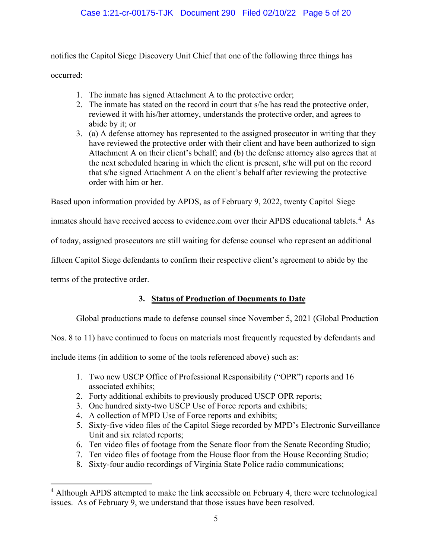## Case 1:21-cr-00175-TJK Document 290 Filed 02/10/22 Page 5 of 20

notifies the Capitol Siege Discovery Unit Chief that one of the following three things has occurred:

1. The inmate has signed Attachment A to the protective order;

- 2. The inmate has stated on the record in court that s/he has read the protective order, reviewed it with his/her attorney, understands the protective order, and agrees to abide by it; or
- 3. (a) A defense attorney has represented to the assigned prosecutor in writing that they have reviewed the protective order with their client and have been authorized to sign Attachment A on their client's behalf; and (b) the defense attorney also agrees that at the next scheduled hearing in which the client is present, s/he will put on the record that s/he signed Attachment A on the client's behalf after reviewing the protective order with him or her.

Based upon information provided by APDS, as of February 9, 2022, twenty Capitol Siege

inmates should have received access to evidence.com over their APDS educational tablets.<sup>4</sup> As

of today, assigned prosecutors are still waiting for defense counsel who represent an additional

fifteen Capitol Siege defendants to confirm their respective client's agreement to abide by the

terms of the protective order.

# **3. Status of Production of Documents to Date**

Global productions made to defense counsel since November 5, 2021 (Global Production

Nos. 8 to 11) have continued to focus on materials most frequently requested by defendants and

include items (in addition to some of the tools referenced above) such as:

- 1. Two new USCP Office of Professional Responsibility ("OPR") reports and 16 associated exhibits;
- 2. Forty additional exhibits to previously produced USCP OPR reports;
- 3. One hundred sixty-two USCP Use of Force reports and exhibits;
- 4. A collection of MPD Use of Force reports and exhibits;
- 5. Sixty-five video files of the Capitol Siege recorded by MPD's Electronic Surveillance Unit and six related reports;
- 6. Ten video files of footage from the Senate floor from the Senate Recording Studio;
- 7. Ten video files of footage from the House floor from the House Recording Studio;
- 8. Sixty-four audio recordings of Virginia State Police radio communications;

<sup>&</sup>lt;sup>4</sup> Although APDS attempted to make the link accessible on February 4, there were technological issues. As of February 9, we understand that those issues have been resolved.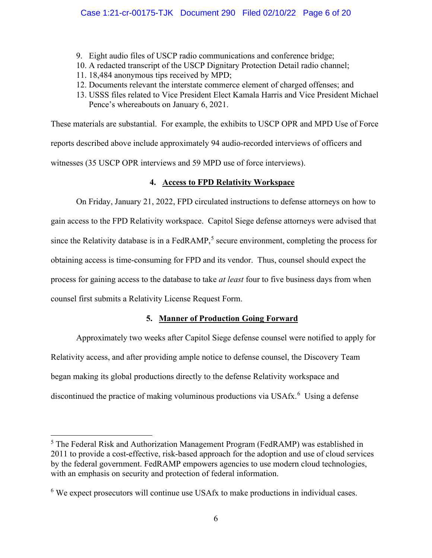### Case 1:21-cr-00175-TJK Document 290 Filed 02/10/22 Page 6 of 20

- 9. Eight audio files of USCP radio communications and conference bridge;
- 10. A redacted transcript of the USCP Dignitary Protection Detail radio channel;
- 11. 18,484 anonymous tips received by MPD;
- 12. Documents relevant the interstate commerce element of charged offenses; and
- 13. USSS files related to Vice President Elect Kamala Harris and Vice President Michael Pence's whereabouts on January 6, 2021.

These materials are substantial. For example, the exhibits to USCP OPR and MPD Use of Force reports described above include approximately 94 audio-recorded interviews of officers and witnesses (35 USCP OPR interviews and 59 MPD use of force interviews).

### **4. Access to FPD Relativity Workspace**

On Friday, January 21, 2022, FPD circulated instructions to defense attorneys on how to gain access to the FPD Relativity workspace. Capitol Siege defense attorneys were advised that since the Relativity database is in a FedRAMP,<sup>5</sup> secure environment, completing the process for obtaining access is time-consuming for FPD and its vendor. Thus, counsel should expect the process for gaining access to the database to take *at least* four to five business days from when counsel first submits a Relativity License Request Form.

## **5. Manner of Production Going Forward**

Approximately two weeks after Capitol Siege defense counsel were notified to apply for Relativity access, and after providing ample notice to defense counsel, the Discovery Team began making its global productions directly to the defense Relativity workspace and discontinued the practice of making voluminous productions via USAfx.<sup>6</sup> Using a defense

<sup>&</sup>lt;sup>5</sup> The Federal Risk and Authorization Management Program (FedRAMP) was established in 2011 to provide a cost-effective, risk-based approach for the adoption and use of cloud services by the federal government. FedRAMP empowers agencies to use modern cloud technologies, with an emphasis on security and protection of federal information.

<sup>&</sup>lt;sup>6</sup> We expect prosecutors will continue use USAfx to make productions in individual cases.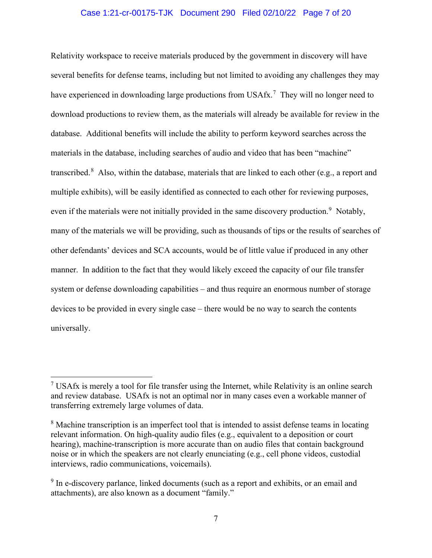### Case 1:21-cr-00175-TJK Document 290 Filed 02/10/22 Page 7 of 20

Relativity workspace to receive materials produced by the government in discovery will have several benefits for defense teams, including but not limited to avoiding any challenges they may have experienced in downloading large productions from USAfx.<sup>7</sup> They will no longer need to download productions to review them, as the materials will already be available for review in the database. Additional benefits will include the ability to perform keyword searches across the materials in the database, including searches of audio and video that has been "machine" transcribed.<sup>8</sup> Also, within the database, materials that are linked to each other (e.g., a report and multiple exhibits), will be easily identified as connected to each other for reviewing purposes, even if the materials were not initially provided in the same discovery production.<sup>9</sup> Notably, many of the materials we will be providing, such as thousands of tips or the results of searches of other defendants' devices and SCA accounts, would be of little value if produced in any other manner. In addition to the fact that they would likely exceed the capacity of our file transfer system or defense downloading capabilities – and thus require an enormous number of storage devices to be provided in every single case – there would be no way to search the contents universally.

 $<sup>7</sup>$  USAfx is merely a tool for file transfer using the Internet, while Relativity is an online search</sup> and review database. USAfx is not an optimal nor in many cases even a workable manner of transferring extremely large volumes of data.

<sup>&</sup>lt;sup>8</sup> Machine transcription is an imperfect tool that is intended to assist defense teams in locating relevant information. On high-quality audio files (e.g., equivalent to a deposition or court hearing), machine-transcription is more accurate than on audio files that contain background noise or in which the speakers are not clearly enunciating (e.g., cell phone videos, custodial interviews, radio communications, voicemails).

<sup>&</sup>lt;sup>9</sup> In e-discovery parlance, linked documents (such as a report and exhibits, or an email and attachments), are also known as a document "family."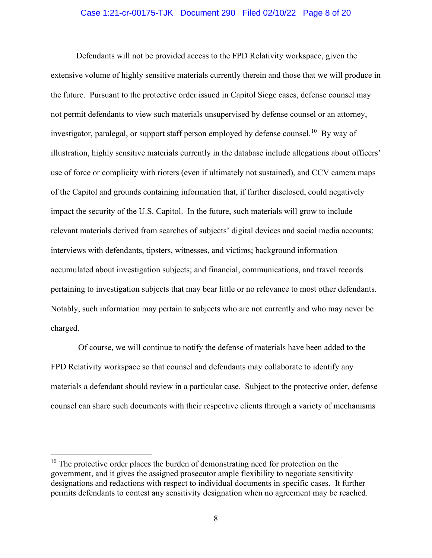### Case 1:21-cr-00175-TJK Document 290 Filed 02/10/22 Page 8 of 20

Defendants will not be provided access to the FPD Relativity workspace, given the extensive volume of highly sensitive materials currently therein and those that we will produce in the future. Pursuant to the protective order issued in Capitol Siege cases, defense counsel may not permit defendants to view such materials unsupervised by defense counsel or an attorney, investigator, paralegal, or support staff person employed by defense counsel.<sup>10</sup> By way of illustration, highly sensitive materials currently in the database include allegations about officers' use of force or complicity with rioters (even if ultimately not sustained), and CCV camera maps of the Capitol and grounds containing information that, if further disclosed, could negatively impact the security of the U.S. Capitol. In the future, such materials will grow to include relevant materials derived from searches of subjects' digital devices and social media accounts; interviews with defendants, tipsters, witnesses, and victims; background information accumulated about investigation subjects; and financial, communications, and travel records pertaining to investigation subjects that may bear little or no relevance to most other defendants. Notably, such information may pertain to subjects who are not currently and who may never be charged.

Of course, we will continue to notify the defense of materials have been added to the FPD Relativity workspace so that counsel and defendants may collaborate to identify any materials a defendant should review in a particular case. Subject to the protective order, defense counsel can share such documents with their respective clients through a variety of mechanisms

 $10$  The protective order places the burden of demonstrating need for protection on the government, and it gives the assigned prosecutor ample flexibility to negotiate sensitivity designations and redactions with respect to individual documents in specific cases. It further permits defendants to contest any sensitivity designation when no agreement may be reached.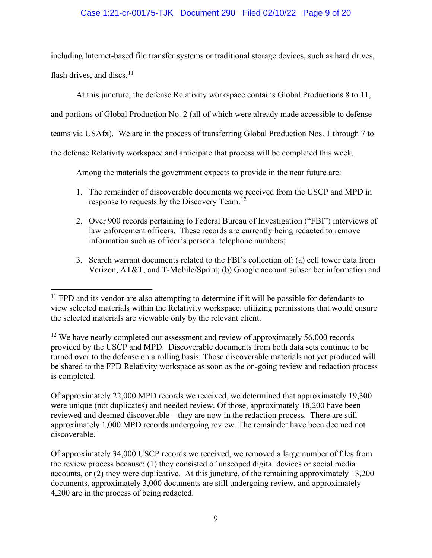## Case 1:21-cr-00175-TJK Document 290 Filed 02/10/22 Page 9 of 20

including Internet-based file transfer systems or traditional storage devices, such as hard drives,

flash drives, and discs. $11$ 

At this juncture, the defense Relativity workspace contains Global Productions 8 to 11,

and portions of Global Production No. 2 (all of which were already made accessible to defense

teams via USAfx). We are in the process of transferring Global Production Nos. 1 through 7 to

the defense Relativity workspace and anticipate that process will be completed this week.

Among the materials the government expects to provide in the near future are:

- 1. The remainder of discoverable documents we received from the USCP and MPD in response to requests by the Discovery Team.<sup>12</sup>
- 2. Over 900 records pertaining to Federal Bureau of Investigation ("FBI") interviews of law enforcement officers. These records are currently being redacted to remove information such as officer's personal telephone numbers;
- 3. Search warrant documents related to the FBI's collection of: (a) cell tower data from Verizon, AT&T, and T-Mobile/Sprint; (b) Google account subscriber information and

Of approximately 22,000 MPD records we received, we determined that approximately 19,300 were unique (not duplicates) and needed review. Of those, approximately 18,200 have been reviewed and deemed discoverable – they are now in the redaction process. There are still approximately 1,000 MPD records undergoing review. The remainder have been deemed not discoverable.

Of approximately 34,000 USCP records we received, we removed a large number of files from the review process because: (1) they consisted of unscoped digital devices or social media accounts, or (2) they were duplicative. At this juncture, of the remaining approximately 13,200 documents, approximately 3,000 documents are still undergoing review, and approximately 4,200 are in the process of being redacted.

 $11$  FPD and its vendor are also attempting to determine if it will be possible for defendants to view selected materials within the Relativity workspace, utilizing permissions that would ensure the selected materials are viewable only by the relevant client.

<sup>&</sup>lt;sup>12</sup> We have nearly completed our assessment and review of approximately 56,000 records provided by the USCP and MPD. Discoverable documents from both data sets continue to be turned over to the defense on a rolling basis. Those discoverable materials not yet produced will be shared to the FPD Relativity workspace as soon as the on-going review and redaction process is completed.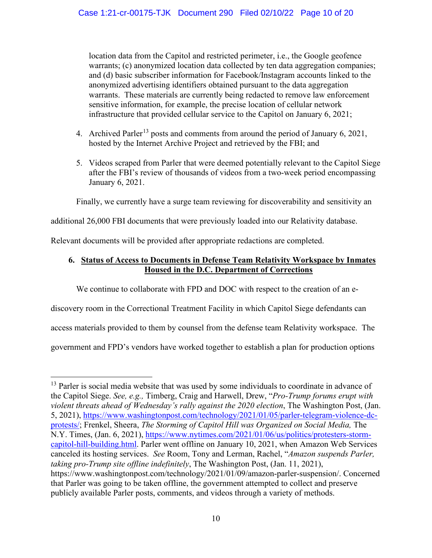location data from the Capitol and restricted perimeter, i.e., the Google geofence warrants; (c) anonymized location data collected by ten data aggregation companies; and (d) basic subscriber information for Facebook/Instagram accounts linked to the anonymized advertising identifiers obtained pursuant to the data aggregation warrants. These materials are currently being redacted to remove law enforcement sensitive information, for example, the precise location of cellular network infrastructure that provided cellular service to the Capitol on January 6, 2021;

- 4. Archived Parler<sup>13</sup> posts and comments from around the period of January 6, 2021, hosted by the Internet Archive Project and retrieved by the FBI; and
- 5. Videos scraped from Parler that were deemed potentially relevant to the Capitol Siege after the FBI's review of thousands of videos from a two-week period encompassing January 6, 2021.

Finally, we currently have a surge team reviewing for discoverability and sensitivity an

additional 26,000 FBI documents that were previously loaded into our Relativity database.

Relevant documents will be provided after appropriate redactions are completed.

## **6. Status of Access to Documents in Defense Team Relativity Workspace by Inmates Housed in the D.C. Department of Corrections**

We continue to collaborate with FPD and DOC with respect to the creation of an e-

discovery room in the Correctional Treatment Facility in which Capitol Siege defendants can

access materials provided to them by counsel from the defense team Relativity workspace. The

government and FPD's vendors have worked together to establish a plan for production options

<sup>&</sup>lt;sup>13</sup> Parler is social media website that was used by some individuals to coordinate in advance of the Capitol Siege. *See, e.g.,* Timberg, Craig and Harwell, Drew, "*Pro-Trump forums erupt with violent threats ahead of Wednesday's rally against the 2020 election*, The Washington Post, (Jan. 5, 2021), https://www.washingtonpost.com/technology/2021/01/05/parler-telegram-violence-dcprotests/; Frenkel, Sheera, *The Storming of Capitol Hill was Organized on Social Media,* The N.Y. Times, (Jan. 6, 2021), https://www.nytimes.com/2021/01/06/us/politics/protesters-stormcapitol-hill-building.html. Parler went offline on January 10, 2021, when Amazon Web Services canceled its hosting services. *See* Room, Tony and Lerman, Rachel, "*Amazon suspends Parler, taking pro-Trump site offline indefinitely*, The Washington Post, (Jan. 11, 2021), https://www.washingtonpost.com/technology/2021/01/09/amazon-parler-suspension/. Concerned that Parler was going to be taken offline, the government attempted to collect and preserve publicly available Parler posts, comments, and videos through a variety of methods.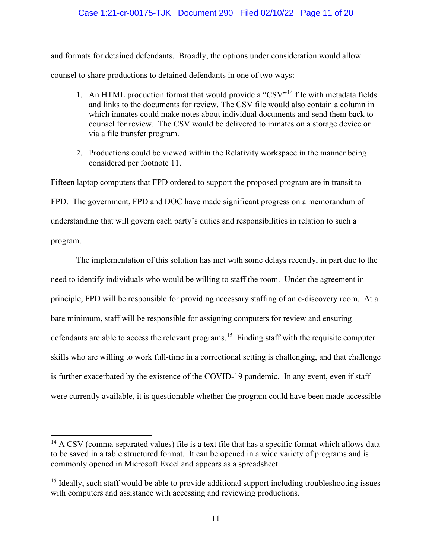### Case 1:21-cr-00175-TJK Document 290 Filed 02/10/22 Page 11 of 20

and formats for detained defendants. Broadly, the options under consideration would allow counsel to share productions to detained defendants in one of two ways:

- 1. An HTML production format that would provide a "CSV"<sup>14</sup> file with metadata fields and links to the documents for review. The CSV file would also contain a column in which inmates could make notes about individual documents and send them back to counsel for review. The CSV would be delivered to inmates on a storage device or via a file transfer program.
- 2. Productions could be viewed within the Relativity workspace in the manner being considered per footnote 11.

Fifteen laptop computers that FPD ordered to support the proposed program are in transit to FPD. The government, FPD and DOC have made significant progress on a memorandum of understanding that will govern each party's duties and responsibilities in relation to such a program.

The implementation of this solution has met with some delays recently, in part due to the need to identify individuals who would be willing to staff the room. Under the agreement in principle, FPD will be responsible for providing necessary staffing of an e-discovery room. At a bare minimum, staff will be responsible for assigning computers for review and ensuring defendants are able to access the relevant programs.<sup>15</sup> Finding staff with the requisite computer skills who are willing to work full-time in a correctional setting is challenging, and that challenge is further exacerbated by the existence of the COVID-19 pandemic. In any event, even if staff were currently available, it is questionable whether the program could have been made accessible

<sup>&</sup>lt;sup>14</sup> A CSV (comma-separated values) file is a text file that has a specific format which allows data to be saved in a table structured format. It can be opened in a wide variety of programs and is commonly opened in Microsoft Excel and appears as a spreadsheet.

 $15$  Ideally, such staff would be able to provide additional support including troubleshooting issues with computers and assistance with accessing and reviewing productions.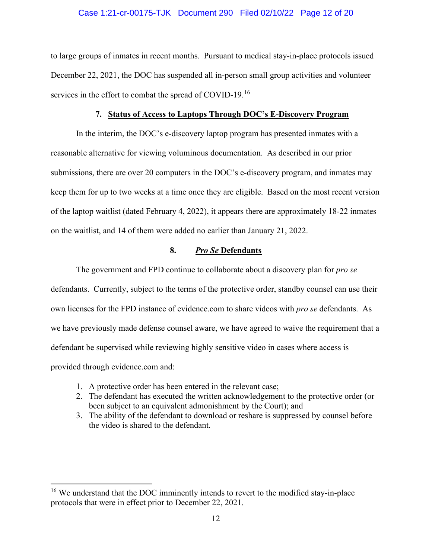### Case 1:21-cr-00175-TJK Document 290 Filed 02/10/22 Page 12 of 20

to large groups of inmates in recent months. Pursuant to medical stay-in-place protocols issued December 22, 2021, the DOC has suspended all in-person small group activities and volunteer services in the effort to combat the spread of COVID-19.<sup>16</sup>

### **7. Status of Access to Laptops Through DOC's E-Discovery Program**

In the interim, the DOC's e-discovery laptop program has presented inmates with a reasonable alternative for viewing voluminous documentation. As described in our prior submissions, there are over 20 computers in the DOC's e-discovery program, and inmates may keep them for up to two weeks at a time once they are eligible. Based on the most recent version of the laptop waitlist (dated February 4, 2022), it appears there are approximately 18-22 inmates on the waitlist, and 14 of them were added no earlier than January 21, 2022.

### **8.** *Pro Se* **Defendants**

The government and FPD continue to collaborate about a discovery plan for *pro se*  defendants. Currently, subject to the terms of the protective order, standby counsel can use their own licenses for the FPD instance of evidence.com to share videos with *pro se* defendants. As we have previously made defense counsel aware, we have agreed to waive the requirement that a defendant be supervised while reviewing highly sensitive video in cases where access is provided through evidence.com and:

- 1. A protective order has been entered in the relevant case;
- 2. The defendant has executed the written acknowledgement to the protective order (or been subject to an equivalent admonishment by the Court); and
- 3. The ability of the defendant to download or reshare is suppressed by counsel before the video is shared to the defendant.

<sup>&</sup>lt;sup>16</sup> We understand that the DOC imminently intends to revert to the modified stay-in-place protocols that were in effect prior to December 22, 2021.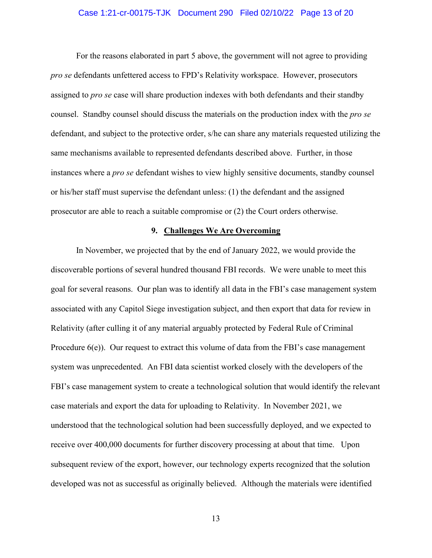#### Case 1:21-cr-00175-TJK Document 290 Filed 02/10/22 Page 13 of 20

For the reasons elaborated in part 5 above, the government will not agree to providing *pro se* defendants unfettered access to FPD's Relativity workspace. However, prosecutors assigned to *pro se* case will share production indexes with both defendants and their standby counsel. Standby counsel should discuss the materials on the production index with the *pro se*  defendant, and subject to the protective order, s/he can share any materials requested utilizing the same mechanisms available to represented defendants described above. Further, in those instances where a *pro se* defendant wishes to view highly sensitive documents, standby counsel or his/her staff must supervise the defendant unless: (1) the defendant and the assigned prosecutor are able to reach a suitable compromise or (2) the Court orders otherwise.

### **9. Challenges We Are Overcoming**

In November, we projected that by the end of January 2022, we would provide the discoverable portions of several hundred thousand FBI records. We were unable to meet this goal for several reasons. Our plan was to identify all data in the FBI's case management system associated with any Capitol Siege investigation subject, and then export that data for review in Relativity (after culling it of any material arguably protected by Federal Rule of Criminal Procedure 6(e)). Our request to extract this volume of data from the FBI's case management system was unprecedented. An FBI data scientist worked closely with the developers of the FBI's case management system to create a technological solution that would identify the relevant case materials and export the data for uploading to Relativity. In November 2021, we understood that the technological solution had been successfully deployed, and we expected to receive over 400,000 documents for further discovery processing at about that time. Upon subsequent review of the export, however, our technology experts recognized that the solution developed was not as successful as originally believed. Although the materials were identified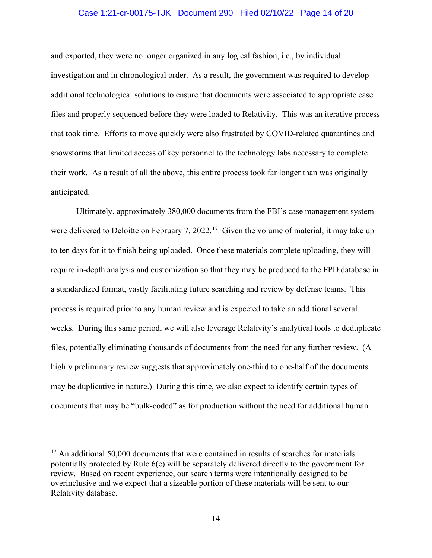#### Case 1:21-cr-00175-TJK Document 290 Filed 02/10/22 Page 14 of 20

and exported, they were no longer organized in any logical fashion, i.e., by individual investigation and in chronological order. As a result, the government was required to develop additional technological solutions to ensure that documents were associated to appropriate case files and properly sequenced before they were loaded to Relativity. This was an iterative process that took time. Efforts to move quickly were also frustrated by COVID-related quarantines and snowstorms that limited access of key personnel to the technology labs necessary to complete their work. As a result of all the above, this entire process took far longer than was originally anticipated.

Ultimately, approximately 380,000 documents from the FBI's case management system were delivered to Deloitte on February 7, 2022.<sup>17</sup> Given the volume of material, it may take up to ten days for it to finish being uploaded. Once these materials complete uploading, they will require in-depth analysis and customization so that they may be produced to the FPD database in a standardized format, vastly facilitating future searching and review by defense teams. This process is required prior to any human review and is expected to take an additional several weeks. During this same period, we will also leverage Relativity's analytical tools to deduplicate files, potentially eliminating thousands of documents from the need for any further review. (A highly preliminary review suggests that approximately one-third to one-half of the documents may be duplicative in nature.) During this time, we also expect to identify certain types of documents that may be "bulk-coded" as for production without the need for additional human

 $17$  An additional 50,000 documents that were contained in results of searches for materials potentially protected by Rule 6(e) will be separately delivered directly to the government for review. Based on recent experience, our search terms were intentionally designed to be overinclusive and we expect that a sizeable portion of these materials will be sent to our Relativity database.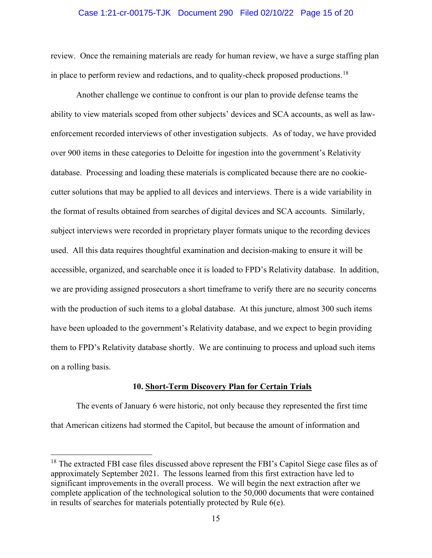#### Case 1:21-cr-00175-TJK Document 290 Filed 02/10/22 Page 15 of 20

review. Once the remaining materials are ready for human review, we have a surge staffing plan in place to perform review and redactions, and to quality-check proposed productions.<sup>18</sup>

Another challenge we continue to confront is our plan to provide defense teams the ability to view materials scoped from other subjects' devices and SCA accounts, as well as lawenforcement recorded interviews of other investigation subjects. As of today, we have provided over 900 items in these categories to Deloitte for ingestion into the government's Relativity database. Processing and loading these materials is complicated because there are no cookiecutter solutions that may be applied to all devices and interviews. There is a wide variability in the format of results obtained from searches of digital devices and SCA accounts. Similarly, subject interviews were recorded in proprietary player formats unique to the recording devices used. All this data requires thoughtful examination and decision-making to ensure it will be accessible, organized, and searchable once it is loaded to FPD's Relativity database. In addition, we are providing assigned prosecutors a short timeframe to verify there are no security concerns with the production of such items to a global database. At this juncture, almost 300 such items have been uploaded to the government's Relativity database, and we expect to begin providing them to FPD's Relativity database shortly. We are continuing to process and upload such items on a rolling basis.

#### **10. Short-Term Discovery Plan for Certain Trials**

The events of January 6 were historic, not only because they represented the first time that American citizens had stormed the Capitol, but because the amount of information and

<sup>&</sup>lt;sup>18</sup> The extracted FBI case files discussed above represent the FBI's Capitol Siege case files as of approximately September 2021. The lessons learned from this first extraction have led to significant improvements in the overall process. We will begin the next extraction after we complete application of the technological solution to the 50,000 documents that were contained in results of searches for materials potentially protected by Rule 6(e).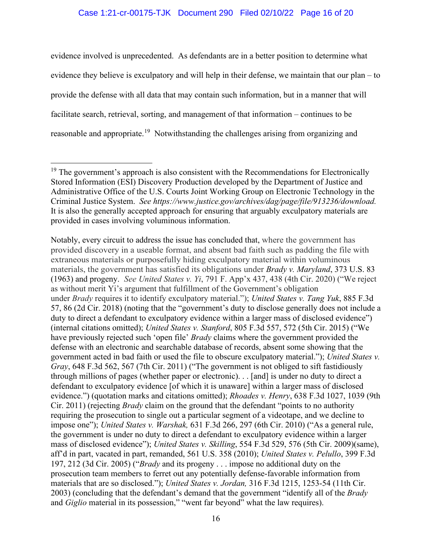### Case 1:21-cr-00175-TJK Document 290 Filed 02/10/22 Page 16 of 20

evidence involved is unprecedented. As defendants are in a better position to determine what evidence they believe is exculpatory and will help in their defense, we maintain that our plan – to provide the defense with all data that may contain such information, but in a manner that will facilitate search, retrieval, sorting, and management of that information – continues to be reasonable and appropriate.<sup>19</sup> Notwithstanding the challenges arising from organizing and

<sup>&</sup>lt;sup>19</sup> The government's approach is also consistent with the Recommendations for Electronically Stored Information (ESI) Discovery Production developed by the Department of Justice and Administrative Office of the U.S. Courts Joint Working Group on Electronic Technology in the Criminal Justice System. *See https://www.justice.gov/archives/dag/page/file/913236/download.* It is also the generally accepted approach for ensuring that arguably exculpatory materials are provided in cases involving voluminous information.

Notably, every circuit to address the issue has concluded that, where the government has provided discovery in a useable format, and absent bad faith such as padding the file with extraneous materials or purposefully hiding exculpatory material within voluminous materials, the government has satisfied its obligations under *Brady v. Maryland*, 373 U.S. 83 (1963) and progeny. *See United States v. Yi*, 791 F. App'x 437, 438 (4th Cir. 2020) ("We reject as without merit Yi's argument that fulfillment of the Government's obligation under *Brady* requires it to identify exculpatory material."); *United States v. Tang Yuk*, 885 F.3d 57, 86 (2d Cir. 2018) (noting that the "government's duty to disclose generally does not include a duty to direct a defendant to exculpatory evidence within a larger mass of disclosed evidence") (internal citations omitted); *United States v. Stanford*, 805 F.3d 557, 572 (5th Cir. 2015) ("We have previously rejected such 'open file' *Brady* claims where the government provided the defense with an electronic and searchable database of records, absent some showing that the government acted in bad faith or used the file to obscure exculpatory material."); *United States v. Gray*, 648 F.3d 562, 567 (7th Cir. 2011) ("The government is not obliged to sift fastidiously through millions of pages (whether paper or electronic). . . [and] is under no duty to direct a defendant to exculpatory evidence [of which it is unaware] within a larger mass of disclosed evidence.") (quotation marks and citations omitted); *Rhoades v. Henry*, 638 F.3d 1027, 1039 (9th Cir. 2011) (rejecting *Brady* claim on the ground that the defendant "points to no authority requiring the prosecution to single out a particular segment of a videotape, and we decline to impose one"); *United States v. Warshak,* 631 F.3d 266, 297 (6th Cir. 2010) ("As a general rule, the government is under no duty to direct a defendant to exculpatory evidence within a larger mass of disclosed evidence"); *United States v. Skilling*, 554 F.3d 529, 576 (5th Cir. 2009)(same), aff'd in part, vacated in part, remanded, 561 U.S. 358 (2010); *United States v. Pelullo*, 399 F.3d 197, 212 (3d Cir. 2005) ("*Brady* and its progeny . . . impose no additional duty on the prosecution team members to ferret out any potentially defense-favorable information from materials that are so disclosed."); *United States v. Jordan,* 316 F.3d 1215, 1253-54 (11th Cir. 2003) (concluding that the defendant's demand that the government "identify all of the *Brady*  and *Giglio* material in its possession," "went far beyond" what the law requires).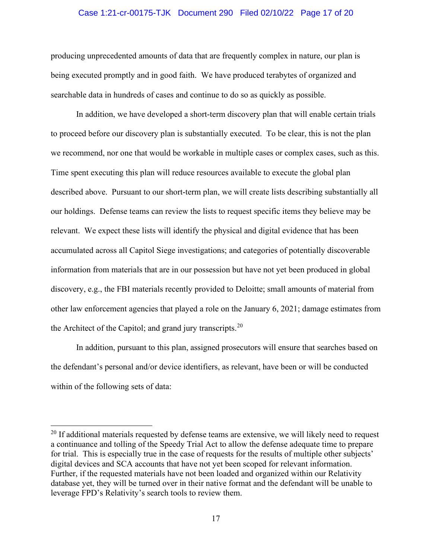#### Case 1:21-cr-00175-TJK Document 290 Filed 02/10/22 Page 17 of 20

producing unprecedented amounts of data that are frequently complex in nature, our plan is being executed promptly and in good faith. We have produced terabytes of organized and searchable data in hundreds of cases and continue to do so as quickly as possible.

In addition, we have developed a short-term discovery plan that will enable certain trials to proceed before our discovery plan is substantially executed. To be clear, this is not the plan we recommend, nor one that would be workable in multiple cases or complex cases, such as this. Time spent executing this plan will reduce resources available to execute the global plan described above. Pursuant to our short-term plan, we will create lists describing substantially all our holdings. Defense teams can review the lists to request specific items they believe may be relevant. We expect these lists will identify the physical and digital evidence that has been accumulated across all Capitol Siege investigations; and categories of potentially discoverable information from materials that are in our possession but have not yet been produced in global discovery, e.g., the FBI materials recently provided to Deloitte; small amounts of material from other law enforcement agencies that played a role on the January 6, 2021; damage estimates from the Architect of the Capitol; and grand jury transcripts.<sup>20</sup>

In addition, pursuant to this plan, assigned prosecutors will ensure that searches based on the defendant's personal and/or device identifiers, as relevant, have been or will be conducted within of the following sets of data:

<sup>&</sup>lt;sup>20</sup> If additional materials requested by defense teams are extensive, we will likely need to request a continuance and tolling of the Speedy Trial Act to allow the defense adequate time to prepare for trial. This is especially true in the case of requests for the results of multiple other subjects' digital devices and SCA accounts that have not yet been scoped for relevant information. Further, if the requested materials have not been loaded and organized within our Relativity database yet, they will be turned over in their native format and the defendant will be unable to leverage FPD's Relativity's search tools to review them.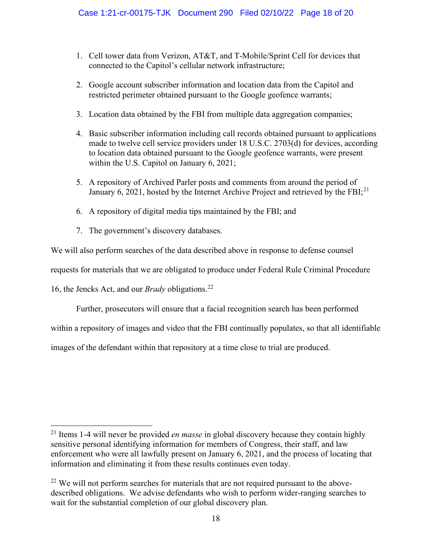- 1. Cell tower data from Verizon, AT&T, and T-Mobile/Sprint Cell for devices that connected to the Capitol's cellular network infrastructure;
- 2. Google account subscriber information and location data from the Capitol and restricted perimeter obtained pursuant to the Google geofence warrants;
- 3. Location data obtained by the FBI from multiple data aggregation companies;
- 4. Basic subscriber information including call records obtained pursuant to applications made to twelve cell service providers under 18 U.S.C. 2703(d) for devices, according to location data obtained pursuant to the Google geofence warrants, were present within the U.S. Capitol on January 6, 2021;
- 5. A repository of Archived Parler posts and comments from around the period of January 6, 2021, hosted by the Internet Archive Project and retrieved by the FBI; $^{21}$
- 6. A repository of digital media tips maintained by the FBI; and
- 7. The government's discovery databases.

We will also perform searches of the data described above in response to defense counsel

requests for materials that we are obligated to produce under Federal Rule Criminal Procedure

16, the Jencks Act, and our *Brady* obligations.22

Further, prosecutors will ensure that a facial recognition search has been performed

within a repository of images and video that the FBI continually populates, so that all identifiable

images of the defendant within that repository at a time close to trial are produced.

<sup>21</sup> Items 1-4 will never be provided *en masse* in global discovery because they contain highly sensitive personal identifying information for members of Congress, their staff, and law enforcement who were all lawfully present on January 6, 2021, and the process of locating that information and eliminating it from these results continues even today.

 $22$  We will not perform searches for materials that are not required pursuant to the abovedescribed obligations. We advise defendants who wish to perform wider-ranging searches to wait for the substantial completion of our global discovery plan.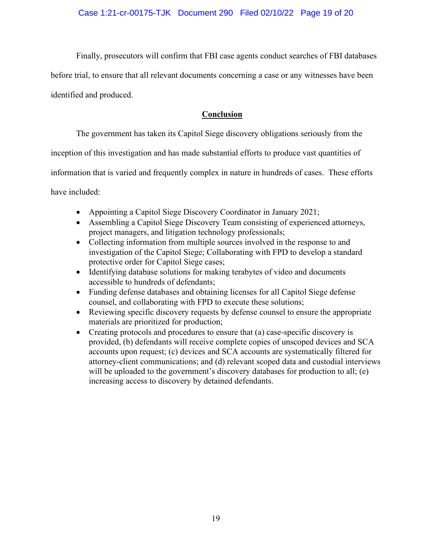Finally, prosecutors will confirm that FBI case agents conduct searches of FBI databases

before trial, to ensure that all relevant documents concerning a case or any witnesses have been

identified and produced.

## **Conclusion**

The government has taken its Capitol Siege discovery obligations seriously from the

inception of this investigation and has made substantial efforts to produce vast quantities of

information that is varied and frequently complex in nature in hundreds of cases. These efforts

have included:

- Appointing a Capitol Siege Discovery Coordinator in January 2021;
- Assembling a Capitol Siege Discovery Team consisting of experienced attorneys, project managers, and litigation technology professionals;
- Collecting information from multiple sources involved in the response to and investigation of the Capitol Siege; Collaborating with FPD to develop a standard protective order for Capitol Siege cases;
- Identifying database solutions for making terabytes of video and documents accessible to hundreds of defendants;
- Funding defense databases and obtaining licenses for all Capitol Siege defense counsel, and collaborating with FPD to execute these solutions;
- Reviewing specific discovery requests by defense counsel to ensure the appropriate materials are prioritized for production;
- Creating protocols and procedures to ensure that (a) case-specific discovery is provided, (b) defendants will receive complete copies of unscoped devices and SCA accounts upon request; (c) devices and SCA accounts are systematically filtered for attorney-client communications; and (d) relevant scoped data and custodial interviews will be uploaded to the government's discovery databases for production to all; (e) increasing access to discovery by detained defendants.